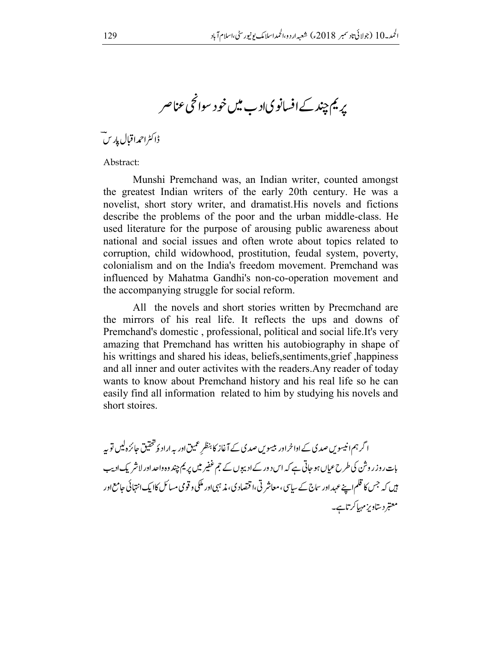پریم چند کے افسانویاد ب میں خود سوائحی عناصر

ڈاکٹراحمداقبال پاریں ت

Abstract:

Munshi Premchand was, an Indian writer, counted amongst the greatest Indian writers of the early 20th century. He was a novelist, short story writer, and dramatist. His novels and fictions describe the problems of the poor and the urban middle-class. He used literature for the purpose of arousing public awareness about national and social issues and often wrote about topics related to corruption, child widowhood, prostitution, feudal system, poverty, colonialism and on the India's freedom movement. Premchand was influenced by Mahatma Gandhi's non-co-operation movement and the accompanying struggle for social reform.

All the novels and short stories written by Precmchand are the mirrors of his real life. It reflects the ups and downs of Premchand's domestic, professional, political and social life. It's very amazing that Premchand has written his autobiography in shape of his writtings and shared his ideas, beliefs, sentiments, grief, happiness and all inner and outer activites with the readers. Any reader of today wants to know about Premchand history and his real life so he can easily find all information related to him by studying his novels and short stoires.

ا گرہم انیسوس صدی کے اداخراور بیسوس صدی کے آغاز کا بنظر عمیق اور یہ اراد ۂ تحقیق جائزہ لیں تو یہ بات روز روشن کی طرح عیاں ہو جاتی ہے کہ اس د ور کے ادیبوں کے جم غفیر میں پر یم چند وہ داحد اور لاشر یک ادیب ہیں کہ جس کا قلم اپنے عہد اور ساج کے سیاسی، معاشر تی،ا قتصاد ی، مذہبی اور ملکی و قومی مسائل کاایک انتہائی جامع اور معتبر دستاویز مہیاکر تاہے۔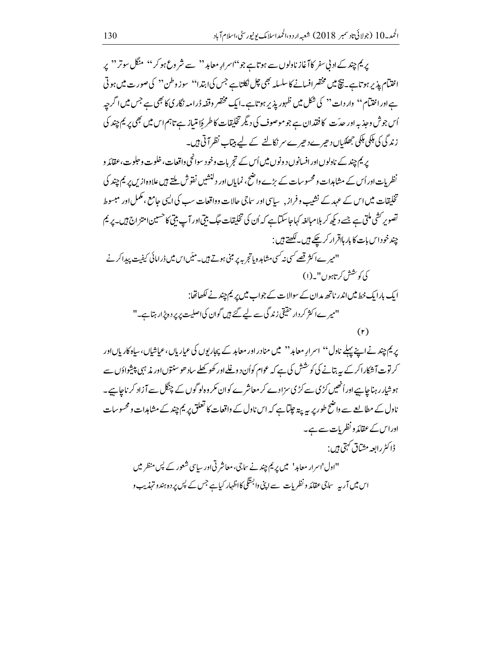پریم چند کے اد بی سفر کا آغاز ناولوں سے ہوتاہے جو''اسرارِ معاہد'' سے شر وع ہو کر'' منگل سوتر'' پر اختتام پذیر ہوتاہے۔ نیچ میں مخضرافسانے کاسلسلہ بھی چل نکاتاہے جس کیا ہتدا'' سوز وطن'' کی صورت میں ہوتی ہےاوراختیآم'' وار دات'' کی شکل میں ظہور پذیر ہو تاہے۔ایک مختصر وقفہ ڈرامہ نگار کی کا بھی ہے جس میں اگرچہ اُس جوش وحذبہ اور حدیّت کا فقدان ہے جو موصوف کی دیگر تخلیقات کا طریۂ امّیاز ہے تاہم اس میں بھی پر یم چند کی زند گی کی ہلکی ہلکی جھلکیاں دھیرے دھیرے سر نکالنے کے لیے بیتاب نظر آتی ہیں۔

پریم چند کے نادلوںاورافسانوں د ونوں میں اُس کے تجربات وخود سوانحی واقعات،خلوت وحلوت،عقائد و نظر بات اوراُس کے مشاہدات ومحسوسات کے بڑے واضح، نمایاں اور دلنشیں نفوش ملتے ہیں علاوہ از س بریم چند کی تخلیقات میں اس کے عہد کے نشیب و فراز <sub>دست</sub>اسی اور ساجی حالات وواقعات سب کی ایسی حامع ،مکمل اور مبسوط تصویر کشی ملتی ہے جسے دیکھ کر بلامبالغہ کہاجاسکتا ہے کہ اُن کی تخلیقات جگ بیتی اور آپ بیتی کا حسین امتز اج ہیں۔ پر یم چندخوداس بات کابار ہلاقرار کرچکے ہیں۔ لکھتے ہیں : ''میر ےا کثر تھے *کسی نہ کسی مش*اہدہ پاتجر ہہ پر مبنی ہوتے ہیں۔میں اس میں ڈرامائی کیفیت پیدا کرنے كى كوشش كرتابوں" \_(١)

ایک بارایک خط میں اندر ناتھ مدان کے سوالات کے جواب میں پر یم چند نے لکھاتھا: ''میر ےا کثر کردار حقیقی زندگی سے لیے گئے ہیں گوان کی اصلیت پر پر دہ پڑار ہتا ہے۔''  $(r)$ 

پریم چند نے اپنے پہلے ناول'' اسرارِ معاہد'' میں منادر اور معاہد کے پجاریوں کی عیار پاں،عیاشیاں،سپاہ کارپاںاور کر توت آ شکارا کرکے ہیہ بتانے کی کوشش کی ہے کہ عوام کواُن د و غلے اور کھو کھلے ساد ھوسنتوں اور مذ ہبی پیشواؤں سے ہوشیار رہناجا ہیے اوراُنھیں کڑی سے کڑی سزادے کر معاشر ے کوان مکر وہ لو گوں کے چنگل سے آزاد کر ناجا ہے۔ ناول کے مطالعے سے واضح طور پر ہیریتہ جاتا ہے کہ اس ناول کے واقعات کا تعلق پر یم چند کے مشاہدات و محسوسات اوراس کے عقائد و نظریات سے ہے۔ ڈاکٹررابعہ مشاق کہتی ہیں :

"اول'اسرار معاہد' میں پر یم چند نے ساجی، معاشر تی اور ساسی شعور کے پس منظر میں اس میں آر پہ ساجی عقائد و نظر بات سے اپنی وابستگی کااظہار کیاہے جس کے پس پر دہ ہند و تہذیب و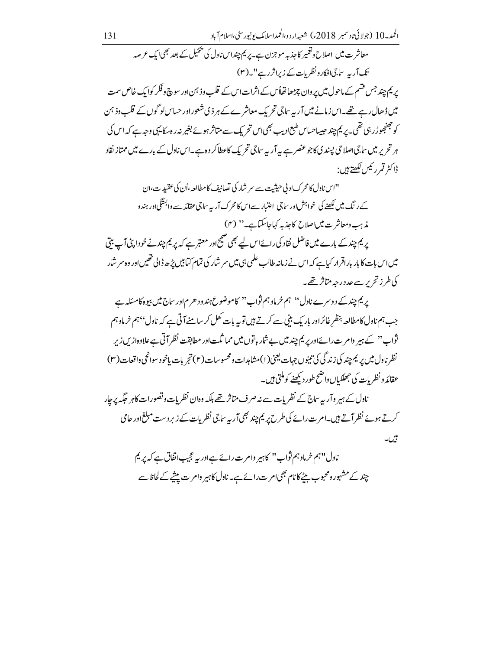معاشر ت میں اصلاح و تغمیر کاجذبہ موجزن ہے۔ یریم چنداس ناول کی پھیل کے بعد بھی ایک عرصہ تک آر پہ ساجیانکارونظرمات کے زیراثررہے"۔(۳) یر یم چند جس قسم کے ماحول میں پر وان چڑھاتھاأس کے اثرات اس کے قلب وذ ہن اور سوچ و فکر کوایک خاص سمت میں ڈھال رہے تھے۔اس زمانے میں آر یہ ساجی تحریک معاشر ے کے ہر ذی شعوراور حساس لو گوں کے قلب وذ ہن کو جھنجورڑ رہی تھی۔ پر یم چند حبیباحساس طبع ادیب بھی اس تحریک سے متاثر ہوئے بغیر نہ رہ سکایہی وجہ ہے کہ اس کی ہر تحریر میں ساجی اصلاحی پیندی کاجو عنصر ہے یہ آر یہ ساجی تحریک کاعطاکر دوہے۔اس ناول کے بارے میں ممتاز نقاد ڈاکٹر قمرر ئیس لکھتے ہیں :

"اس ناول کا محرک اد پی حیثیت سے سمر شار کی تصانیف کامطالعہ ،اُن کی عقیدت،ان کےر نگ میں لکھنے کی خواہش اور ساجی ِ اعتبار سےاس کا محرک آر یہ ساجی عقائد سے وابستگی اور ہند و مذہب ومعاشر ت میںاصلاح کاحذ یہ کہاجاسکتاہے۔'' (۴) یر یم چند کے بارے میں فاضل نقاد کی رائےاس لیے بھی صبح اور معتبر ہے کہ پر یم چند نے خو داپنی آپ بیتی میں اس بات کا بار باراقرار کیاہے کہ اس نے زمانہ طالب علمی ہی میں سر شار کی تمام کیا بیں پڑھ ڈالی تھیں اور وہ سر شار کی طرزتح پرسے حددرجہ متاثر تھے۔

یر یم چند کے دوسرے ناول'' ہم خرماوہم ثواب'' کاموضوع ہندود حرم اور ساج میں بیوہ کامسکہ ہے جب ہم ناول کامطالعہ بنظر غائراور باریک بنی سے کرتے ہیں توبہ بات کھل کر سامنے آتی ہے کہ ناول بمہم خرماوہم ثواب" کے ہیر وامر ت رائےاور پر یم چند میں بے شار باتوں میں مما ثلت اور مطابقت نظر آتی ہے علاوہاز س زیرِ نظر نادل میں بریم چند کی زند گی کی تنیوں جہات یعنی(۱)مشاہدات ومحسوسات(۲) تجربات ماخود سوانحی واقعات (۳) عقائد و نظریات کی جھلکیاں واضح طور دیکھنے کوملتی ہیں۔

ناول کے ہیر وآر یہ ساج کے نظر بات سے نہ صرف متاثر تھے بلکہ وہان نظر بات وتصورات کاہر جگہ پر جار کرتے ہوئے نظر آتے ہیں۔ام ت رائے کی طرح پر یم چند بھی آر یہ ساجی نظریات کے زیر دست مبلغ اور حامی

بیں۔

ناول''ہم خرماوہم ثواب'' کاہم وام ت رائے ہےاور یہ عجیباتفاق ہے کہ پر یم چندکے مشہور ومحبوب بیٹے کانام بھیام ت رائے ہے۔ ناول کاہیر وامر ت پیشے کے لحاظ سے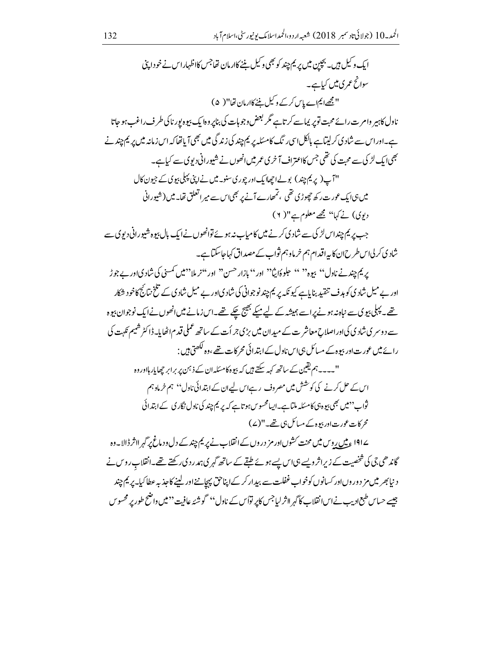ایک و کیل ہیں۔ بچپن میں پر یم چند کو بھی و کیل بننے کاارمان تھاجس کااظہاراس نے خو داپنی سوانح عمر ی میں کیاہے۔ " مجھے ایم اے پاس کرکے وکیل نئے کاارمان تھا" ( ۵) ناول کاہیر وامر ت رائے محبت توپر یماسے کر تاہے گر بعض وجو ہات کی بناپر وہا یک بیوہ یور ناکی طر ف راغب ہو جاتا ہے۔اوراس سے شادی کرلیتاہے بالکل اسی رنگ کامسکہ پر یم چند کی زند گی میں بھی آیاتھا کہ اس زمانہ میں پر یم چند نے بھی <sub>ایک</sub> لڑ کی سے محبت کی تھی جس کااعتراف آخر ی عمر میں انھوں نے شیورانی دیوی سے کیا ہے۔ "آپ(پریم چند) بولےاتھاایک اور چوری سنو۔میں نےاپنی پہلی بیوی کے جیون کال میں ہی ایک عورت رکھ چھوڑی تھی ، تمھارے آنے پر بھی اس سے میر اتعلق تھا۔ میں (شیورانی دیوی) نے کہا'' مجھے معلوم ہے"( ۲) جب پر یم چنداس لڑ کی سے شاد کی کرنے میں کامیاب نہ ہوئے توانھوں نے ایک بال بیوہ شیورانی دیوی سے شادی کر لیااس طرح ان کا بیہ اقدام ہم خرماوہم ثواب کے مصداق کہاجاسکتاہے۔ بريم چند نے ناول'' بيوہ'' '' حلو ۂايثا'' اور'' بازار حسن'' اور''نر ملا''میں کمسنی کی شاد ڳاور بے جو ڑ اور بے میل شادی کو ہدف تنقید بنایاہے کیونکہ پر یم چند نوجوانی کی شادیاور بے میل شادی کے تلخ نتائج کاخو د شکار تھے۔ پہلی بیوی سے نباہ نہ ہونے پراسے ہمیشہ کے لیے میکے بھیج چکے تھے۔اس زمانے میں انھوں نےایک نوجوان بیوہ سے دوسر ی شادی کی اور اصلاح معاشر ت کے میدان میں بڑی جر اُت کے ساتھ عملی قدم اٹھایا۔ڈاکٹر شیم <sub>کل</sub>ہت کی رائے میں عورت اور بیوہ کے مسائل ہی اس ناول کے ابتدائی محر کات تھے ،وہ لکھتی ہیں : "۔۔۔۔ ہم یقین کے ساتھ کہہ سکتے ہیں کہ بیوہ کامسکہ ان کے ذ ہمن پر برابر چھایار ہااور وہ اس کے حل کرنے کی کوشش میں مصروف رہےاس لیےان کے ابتدائی ناول'' ہم خرماوہم ثواب''میں بھی بیوہ ہی کامسکہ ملتاہے۔ایسامحسوس ہوتاہے کہ پر یم چند کی ناول نگار کی کےابتدائی محرکات عورت اور بیوہ کے مسائل ہی تھے۔"(ے) ے۱۹۱ <u>ء</u> میں روس میں محنت *ک*شوںاورمز دروں کے انقلاب نے پر یم چند کے دل ودماغ پر <sub>کہر</sub> لاثر ڈالا۔وہ گاندھی جی کی شخصیت کے زیراثر ویسے ہی اس پسے ہوئے طبقے کے ساتھ گہر کی ہمدر دی رکھتے تھے۔انقلاب روس نے د نیابھر میں مز دور وںاور کسانوں کوخواب غفلت سے بیدار کرکے اپناحق پہچاننےاور لینے کاجذبہ عطاکیا۔ پر یم چند جیسے حساس طبع ادیب نےاس نقلاب کا گہر ااثر لیاجس کاپر تواُس کے ناول'' گوشئہ عافیت '' میں واضح طور پر محسو س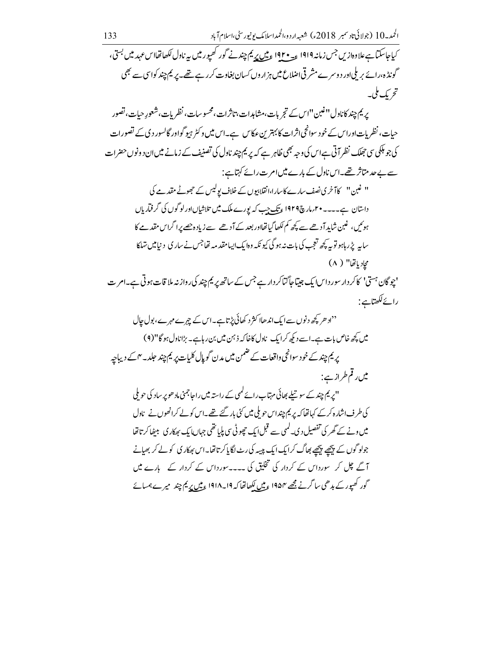پر يم چند کاناول''غبن''اس کے تجربات،مشاہدات،تاثرات،محسوسات،نظریات،شعورِ حیات،تصور حیات، نظر بات اوراس کے خود سوانحی اثرات کابہترین عکاس ہے۔اس میں وکٹر ہیو گواور گالسور دی کے تصورات کی جو ہلکی سی جھلک نظر آتی ہےاس کی وجہ بھی ظاہر ہے کہ پریم چند ناول کی تصنیف کے زمانے میں ان د ونوں حضرات سے بے حد متاثر تھے۔اس ناول کے بارے میں امر ت رائے کہتاہے:

" غبن" كاآخرى نصف سارے كاسارا،انقلابيوں كے خلاف پوليس كے حجوثے مقدمے كى داستان ہے۔۔۔۔ مہم مارچ ۱۹۲۹ ء تک جب کہ پورے ملک میں تلاشاںاورلو گوں کی گرفتار ہاں ہوئیں، غین شاید آدھےسے کچھ کم لکھاگیاتھااور بعد کے آدھے سے زیادہ چھے پرا گراس مقدمے کا سایہ پڑر ہاہو توبہ کچھ تعجب کی بات نہ ہو گی کیونکہ وہا یک ایسامقد مہ تھاجس نے سار کی د نیامیں تہاکا محادياتها" ( ۸)

'چوگان ہستی' کاکر دار سور داسا ایک جیتیاجاگناکر دارے جس کے ساتھ پر یم چند کی رواز نہ ملا قات ہو تی ہے۔ام ت رائےلکھتاہے:

''اد حریجے د نوں سے ایک اندھاا کثر د کھائی پڑتا ہے۔اس کے چیرے میرے، بول جال میں کچھ خاص بات ہے۔اسے دیکھ کرایک ناول کاخاکہ ذہن میں بن رہاہے۔ بڑاناول ہو گا"(۹) پریم چند کے خو د سوانحی واقعات کے ضمن میں مدن گو پال کلیات پر یم چند حلد۔ ۴ کے دیپاچہ میں رقم طراز ہے:

''پریم چند کے سو تبلے بھائی مہتاب رائے کمہی کے راستہ میں راحا جمنی ماد ھوپر ساد کی حو ملی کی طرف اشارہ کرکے کہاتھا کہ پر یم چنداس حو ملی میں کئی بار گئے تھے۔اس کولے کرانھوں نے ناول میں ونے کے گھر کی تفصیل دی۔ کمپی سے قبل ایک حچوٹی سی پلیا تھی جہاں ایک ہھکار کی بیٹھاکر تا تھا جولوگوں کے پیچھے پیچھے بھاگ کرایک ایک پیپیہ کی رٹ لگا پاکرتا تھا۔اس بھکاری کولے کر بھیانے آگے چل کر سورداس کے کردار کی تخلیق کی ۔۔۔۔سورداس کے کردار کے پارے میں گور کھیور کے بدھی ساگرنے مجھے ۱۹۵۴ <u>ءمیں لکھ</u>اتھا کہ ۱۹۱۹۔۱۹۱۸ <u>ءمیں پر</u>یم چند میرے ہمسائے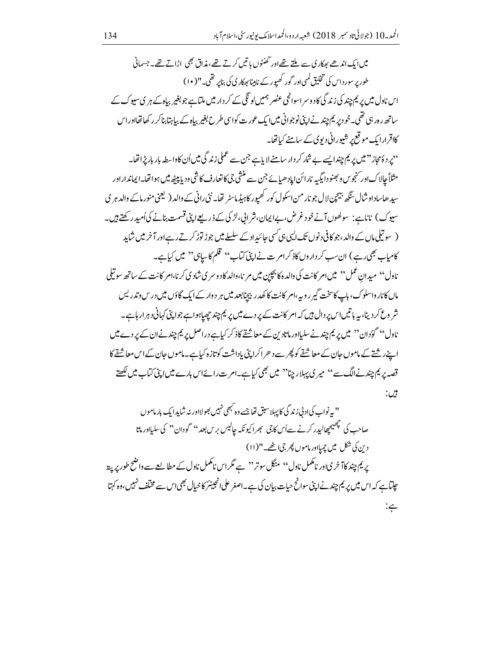میں ایک اندھے بھکار کی سے ملتے تھے اور گھنٹوں یا تیں کرتے تھے، مذاق بھی اڑاتے تھے۔ جسمانی طور پر سور داس کی تخلیق کممی اور گور کھیور کے نامبنائھکاری کی بناپر تھی۔"( ۱۰) اس ناول میں پر یم چند کی زند گی کاد و سر اسوانچی عنصر ہمیں لو نگی کے کر دار میں ملتاہے جو بغیر بیاہ کے ہر ی سیوک کے ساتھ ر ہ رہی تھی۔خود پر یم چند نےا پنی نوجوانی میں ایک عورت کواسی طرح بغیر بیاہ کے بیا پتا بناکر رکھاتھااوراس کااقرارا یک موقع پر شیورانی دیوی کے سامنے کیاتھا۔ ''یرد دُمحاز ''میں پر یم چندا بسے بے شار کر دار سامنے لا باہے جن سے عملی زند گی میں اُن کاواسطہ بار بار پڑ اتھا۔ مثلاً جالاکاور سنجوس و بھنو دایگیہ نارائن ایاد ھیائے جن سے منشی جی کا تعارف کا شی ودیا پیچھ میں ہوا تھا۔ایمانداراور سید ھاساداوشال یںگھ بہیجین لال جو نار من اسکول کور کھیور کاہیڈ ماسٹر تھا۔ نئی رانی کے والد ( لیحنی منور ماکے والد ہر ی سیوک) ناناہے: سولھوںآنےخود غرض،بےایمان،شرابی،لڑ کی کے ذریعےاپنی قسمت بنانے کیاٗمیدر کھتے ہیں۔ ( سوتیلی،اں کے والد ،جوکافی دنوں تک ایسی،پی کسی جائیداد کے سلسلے میں جوڑ توڑ کرتے رہےاور آ خرمیں شاید کامیاب بھی رہے) ان سب کر داروں کاذ کرامرت نےاپنی کتاب'' قلم کاسابی°' میں کیاہے۔ ناول'' میدان عمل'' میںامر کانت کی دالدہ کا بچپن میں مر نا،والد کاد وسر کی شاد کی کرنا،امر کانت کے ساتھ سو تیلی ماں کانار واسلوک، باپ کاسخت گیر روپہ ،امر کانت کا کھدر بیچنابعد میں ہر دوار کے ایک گاؤں میں درس وتدریس شر وع کر دینا، بیہ باتیں اس پر دال ہیں کہ امر کانت کے پر دے میں پر یم چند چھپاہوا ہے جواپنی کہانی دہرار ہاہے۔ ناول'' گوُدان'' میں پر یم چند نے سلیااور ماتادین کے معاشقے کاذ کر کیاہے دراصل پر یم چند نےان کے پر دے میں اپنےر شتے کے ماموں جان کے معاشقے کو پھر سے د ھر اکرایٹی باداشت کوتازہ کیاہے۔ماموں جان کے اس معاشقے کا قصہ پر یم چند نےالگ سے'' میر پی پہلار چنا'' میں بھی کیاہے۔ام ت رائےاس بارے میں اپنی کتاب میں لکھتے بين: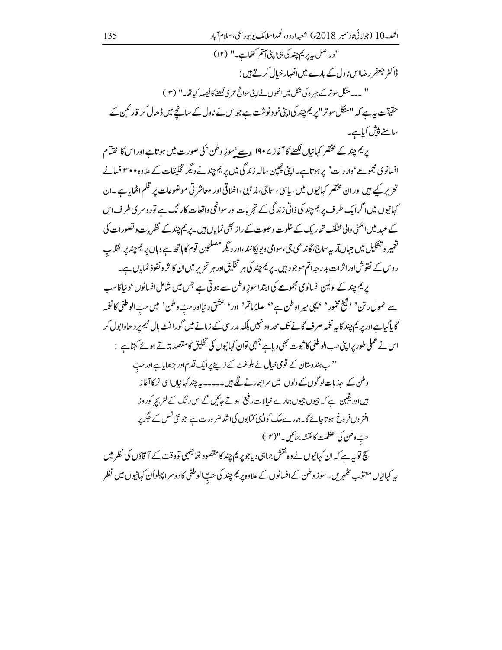"دراصل پہ پریم چند کی ہی اپنی آتم کتھاہے۔" (۱۲) ڈاکٹر جعفر رضااس ناول کے بارے میں اظہار خیال کرتے ہیں : '' ۔۔۔منگل سوتر کے ہیر وکی شکل میں انھوں نےاپنی سوانح عمر کی لکھنے کا فیصلہ کیاتھا۔'' (۱۳) حقیقت ہے ہے کہ ''منگل سوتر ''پریم چند کی اپنی خود نوشت ہے جواس نے ناول کے سانچے میں ڈھال کر قار ئین کے سامنے پیش کیاہے۔

پر <sup>یم</sup> چند کے مختصر کہانیاں لکھنے کا آغاز <sup>ے</sup> 19۰ ع<u>سے <sup>ب</sup></u>سوزِ وطن <sup>د</sup> کی صورت میں ہوتاہے اور اس کااختتام افسانوی مجموعے 'دار دات' پر ہو تاہے۔اپنی چھپن سالہ زندگی میں پر یم چند نے دیگر تخلیقات کے علاوہ • • ۳افسانے تحریر کیے ہیں اور ان مخضر کہانیوں میں سایپی ، ساجی،مذ ہبی ،اخلاقی اور معاشر تی موضوعات پر قلم اٹھایا ہے ۔ان کہانیوں میں اگرایک طرف پر یم چند کی ذاتی زند گی کے تجربات اور سوانچی واقعات کار نگ ہے تو د وسر کی طرف اس کے عہد میں اٹھنی والی مختلف تحاریک کے خلوت و حلوت کے راز بھی نمایاں ہیں۔ پر یم چند کے نظریات و تصورات کی نغمیر و تشکیل میں جہاں آر بہ ساج، گاندھی جی،سوامی ویوپکانند ،اور دیگر مصلحین قوم کاباتھ ہے وہاں پر یم چند پرانقلاب ر وس کے نقوش اوراثرات بدر جہ اتم موجود ہیں۔پریم چند کی ہر تخلیق اور ہر تحریر میں ان کااثر و نفوذ نمایاں ہے۔

پریم چند کے اولین افسانوی مجموعے کی ابتدا سوزِ وطن سے ہوتی ہے جس میں شامل افسانوں ' د نیاکاسب سے انمول رتن <sup>د</sup> ، شیخ مخمور <sup>د</sup> ، بہی میر اوطن ہے<sup>د</sup>، صلۂ ماتم ' اور ' عشق د نیااور حبّ وطن ' میں حبّ الوطني کا نغمہ گا پاگیاہےاور پر یم چند کابہ نغمہ صرف گانے تک محد ود نہیں بلکہ مدرسی کے زمانے میں گورافٹ پال ٹیم پر دھاوابول کر اس نے عملی طور پراپنی حب الوطنی کا ثبوت بھی دیاہے جھی توان کہانیوں کی تخلیق کا مقصد بتاتے ہوئے کہتاہے : <sup>دد</sup>اب ہندوستان کے قومی خیا<u>ل نے بلوغت کے زینے پر</u>ایک قدم اور بڑھایاہے اور حبّ وطن کے حذیات لوگوں کے دلوں میں سرابھارنے لگے ہیں۔۔۔۔۔ پہ چند کہانیاںاسیاثر کاآغاز ہیںاوریقین ہے کہ جیوں جیوں ہارے خیالات رفیع ہوتے جائیں گےاس نگ کے لٹر بچر کوروز افنر وں فروغ ہوتاجائے گا۔ہمارے ملک کوالیپی کیابوں کیا شد ضر ورت ہے جو نئی نسل کے حَکِمر پر حبّ وطن كي عظمت كانقشه جمائيں۔"(١٣) سچ توپہ ہے کہ ان کہانیوں نے وہ <sup>نقش</sup> جماہی دیاجو پر <sup>یم</sup> چند کامتصود تھاجھی تووقت کے آ قاؤں کی نظر میں پہ کہانیاں معتوب پھُہریں۔سو زوطن کے افسانوں کے علاوہ پر یم چند کی حبّ الوطنی کا دوسر ایہلواُن کہانیوں میں نظر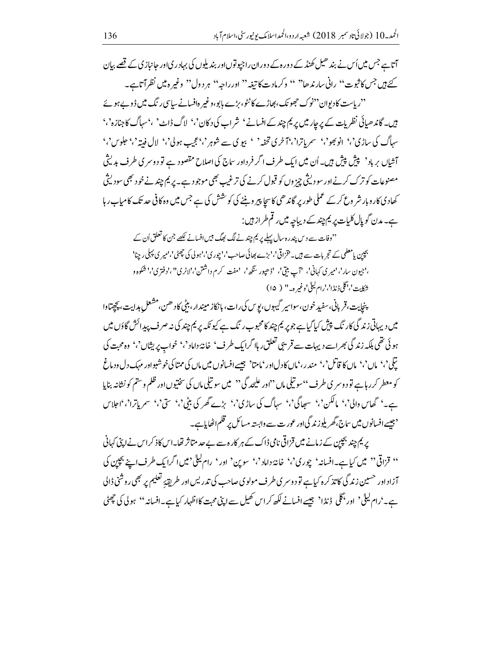آتاہے جس میں اُس نے بند ھیل کھنڈ کے دورہ کے دوران راجیوتوں اور بند بلوں کی بہادر کیاور حانیاز کی کے قصے بیان کئے ہیں جس کا ثبوت'' رانی سارندھا'' '' وکرمادت کا تیغہ'' اور راجہ'' ہر دول'' وغیر ہیں نظرآتاہے۔ ''ر پاست کادیوان''نوک حجھونک ،بھاڑے کاٹٹو،بڑے بابو،وغیر دافسانے ساسی رنگ میں ڈوپے ہوئے ہیں۔ گاندھیائی نظریات کے پر جار میں پر یم چند کے افسانے ' شراب کی دکان' ' ' لاگ ڈاٹ' ،' سہاگ کا جنازہ' ' سہاگ کی ساڑی'' انوںجو'، سمر ماترا'،'آخری تخفہ' ' بیو ی سے شوہر'،عجیب ہول'،' لال فیتہ'،علوس'،' آشاں برباد ' پیش پیش ہیں۔اُن میں ایک طرف اگر فرداور ساج کی اصلاح مقصود ہے تو دوسری طرف بدیشی مصنوعات کو ترک کرنےاور سو دیثی چز وں کو قبول کرنے کی ترغیب بھی موجود ہے۔ پر یم چند نے خود بھی سودیشی کھادی کار وبار شر وع کر کے عملی طور پر گاندھی کا سچا پیر ویننے کی کوشش کی ہے جس میں وہ کافی حد تک کامیاب رہا ہے۔مدن گوپال کلیات پر یم چند کے دیباجیہ میں رقم طراز ہیں :

"وفات سے دیں پندرہ سال پہلے پر <sup>ہم</sup> چند نے لگ بھگ <sup>ہی</sup>ں افسانے لکھے جن کا تعلق اُن کے بچپن پامعلمی کے تجربات سے ہیں۔'قزاقی'،'بڑے بھائی صاحب'،'چوری'،'ہولی کی چھٹی'،'میر ی پہلی رینا' ،'جیون سار'،'میری کہانی'، 'آپ بنتی'، 'ڈھیور سگھ'، 'مفت کرم داشتن'،'لاٹری''،'دفتری'،' شکوہ و شكليت'،'گلى ڈنڈا'،'رام ليل'وغير ہ-" ( ۱۵)

پنجايت،قربانی،سفيډخون،سواسير گيهوں،يوس کی رات،بانکاز ميندار،بيٹي کاد ھن،مشعل ہدايت، پچيتاوا میں دیہاتی زند گی کار نگ پیش کیا گیاہے جو پر یم چند کامحبوب ر نگ ہے کیو نکہ پر یم چند کی نہ صرف پیدائش گاؤں میں ہوئی تھی بلکہ زندگی بھراسے دیہات سے قریبی تعلق رہاا گراپک طرف' خانۂ داماد'،' خواب پریثاں'،' وہ محبت کی تيلي <sup>د</sup> ، ° ماں <sup>د</sup> ، ° ماں كا قاتل <sup>د</sup> ، ° مندر ، 'ماں كادلاور 'مامتا' بھيسے افسانوں ميں ماں كى ممتاكى خوشبواور مہك دل و دماغ کو معطر کرر ہاہے تو د وسر ی طرف<sup>ی ،</sup> سو تیلی ماں <sup>دد</sup>اور علیحد گی <sup>دد</sup> میں سو تیلی ماں کی سختیوں اور ظلم و ستم کو نشانہ بنایا ہے۔' گھاس والی'،' مالکن'،' سھاگی'،' سہاگ کی ساڑی'،' بڑے گھر کی بٹی'،' ستی'،' سمریاترا'،'اجلاس <sup>د جیسے</sup> افسانوں میں ساج،گھر بلوزند گیااور عورت سے وابستہ مسائل پر قلم اٹھایاہے۔

یر یم چند بچپن کے زمانے میں قزاقی نامی ڈاک کے ہر کارہ سے بے حد متاثر تھا۔اس کاذ کراس نے اپنی کہانی " قزاقی" میں کیاہے۔افسانہ' چوری'،' خانۂ داماد'،' سوین' اور' رام لیلی'میں اگرایک طرف اپنے بچپن کی آزاد اور حسین زندگی کاتذ کرہ کیاہے تو دوسری طرف مولوی صاحب کی تدریس اور طریق<sup>ی</sup>ہ تعلیم پر بھی روشنی ڈالی ہے۔'رام لیلٰ' (ور بحکی ڈنڈا' جیسے افسانے لکھ کراس کھیل سے اپنی محبت کااظہار کیا ہے۔افسانہ'' ہولی کی چھٹی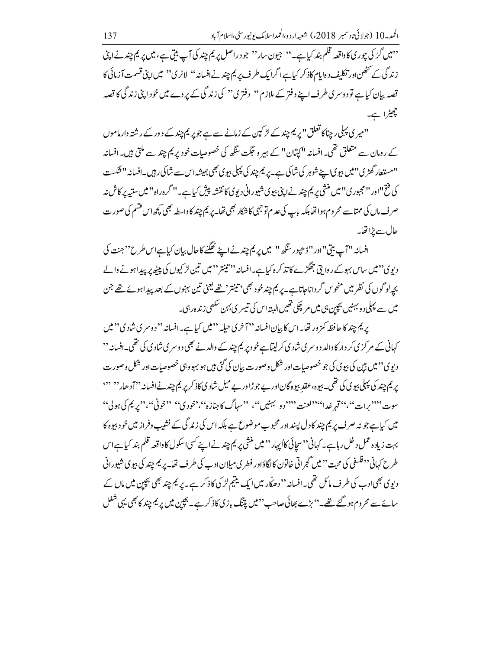" بیں گڑ کی چوری کاواقعہ قلم بند کیا ہے۔" جیون سار" جو دراصل پر <sup>یم</sup> چند کی آپ بیتی ہے، میں پر یم چند نے اپنی زندگی کے تخصی اور تکلیف دہایام کاذ کر کیاہےا گرایک طرف پر یم چندنےافسانہ'' لاٹری'' میں اپنی قسمت آزمائی کا قصہ بیان کیاہے تو دوسری طرف اپنے دفتر کے ملازم'' دفتری'' کی زند گی کے پردے میں خود اپنی زند گی کا قصہ چھٹرا ہے۔

''میر ی پہلی ر چناکا تعلق''پریم چند کے لڑ کپن کے زمانے سے ہے جو پر یم چند کے دور کے رشتہ دار ماموں کے رومان سے متعلق تھی۔افسانہ ''کیتان'' کے ہیر و حَجَت سَنگھ کی خصوصیات خود پر یم چند سے ملتی ہیں۔افسانہ ''مستعار گھڑی'' میں بیو پی اپنے شوہر کی شاکی ہے۔ پر یم چند کی پہلی بیوی بھی ہمیشہ اس سے شاکی رہیں۔افسانہ ''شکست کی فتح"اور "مجبوری" میں منشی پر یم چند نے اپنی بیوی شیورانی دیوی کانقشہ پیش کیاہے۔" گرہ راہ" میں ستیہ پر کاش نہ صرف ماں کی ممتاسے محروم ہوا تھا بلکہ باپ کی عد م توجہی کا شکار بھی تھا۔ پر یم چند کاواسطہ بھی کچھ اس فشم کی صورت حال سے پڑاتھا۔

افسانہ ''آپ بنی''اور ''ڈھپور سَگھ'' میں پر یم چند نے اپنے ٹھگنے کاحال بیان کیاہےاس طرح'' جنت کی دیوی°'میں ساس بہوکے روایتی جھگڑے کاتذ کرہ کیاہے۔افسانہ''تینتر''میں تین لڑ کیوں کی پیٹھ پر پیداہونے والے بچہ لو گوں کی نظر میں منحوس گرداناجاتاہے۔ پر یم چند خود بھی بینیتر ' تھے یعنی تین بہنوں کے بعد پیداہو ئے تھے جن میں سے پہلی د و بہنیں بچپن ہی میں مر چکی تھیں البتہ اس کی تیسر ی بہن سکھی زندہ رہی۔

یریم چند کا حافظہ کمز ور تھا۔اس کا بیان افسانہ ''آ خری حیلہ '' میں کیا ہے۔افسانہ '' دوسری شادی'' میں کہانی کے مرکز پی کر دار کا والد دوسر پی شاد پی کرلیتاہے خود پر یم چند کے والد نے بھی دوسر پی شاد پی کی تھی۔افسانہ '' د یوې ''میں بین کی بېوی کی جو خصوصات اور شکل وصورت بیان کی گئی ہیں ہو بہو وہی خصوصات اور شکل وصور ت یر یم چند کی پہلی بیوی کی تھی۔ بیوہ، عقد بیوہ گاناور بے جوڑاور بے میل شادی کاذ کر پر یم چند نےافسانہ ''آ دھار'' '' سوت ''''برات''،''قهر خدا''''لعنت ''''دو بهبنیں''، ''سہاگ کا جنازہ''،'خودی'' ''خونی''، ''پریم کی ہول'' میں کیا ہے جو نہ صرف پر یم چند کا دل پسند اور محبوب موضوع ہے بلکہ اس کی زند گی کے نشیب وفراز میں خود بیوہ کا بہت زیادہ عمل د خل رہاہے۔ کہانی '' سچائی کااُپہار '' میں منشی پر یم چند نے اپنے کسی اسکول کا واقعہ قلم بند کیا ہے اس طرح کہانی <sup>د دفلس</sup>فی کی محبت ''میں گجراتی خاتون کا لگاؤاور فطر کی میلان ادب کی طرف تھا۔ پر یم چند کی بیوی شیورانی دیوی بھی ادب کی طرف مائل تھی۔افسانہ '' دھاّلہ میں ایک یتیم لڑ کی کاذ کر ہے۔پریم چند بھی بچپن میں ماں کے سائے سے محروم ہو گئے تھے۔''بڑے بھائی صاحب''میں پتنگ بازی کاذ کر ہے۔ بچپن میں پر یم چند کا بھی یہی شغل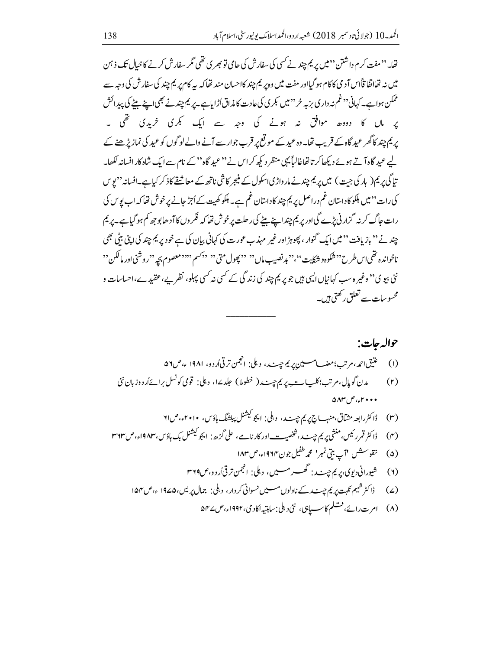تھا۔''مفت کرم داشتن'' میں پر یم چند نے کسی کی سفارش کی حامی تو بھر ی تھی مگر سفارش کرنے کا حیال تک ذ ہن میں نہ تھااتفا قاًاس آ د می کاکام ہو گیااور مفت میں وہ پر یم چند کااحسان مند تھا کہ بیہ کام پر یم چند کی سفارش کی وجہ سے ممکن ہواہے۔ کہانی ''غم نہ داری بزیہ خر''میں بکری کی عادت کا مذاق اُڑایاہے۔ پر یم چند نے بھی اپنے بیٹے کی پیدائش یر ماں کا دووہ موافق نہ ہونے کی وجہ سے ایک کجری خریدی تھی ۔ پریم چند کاگھر عید گاہ کے قریب تھا۔ وہ عید کے موقع پر قرب جوار سے آنے والے لوگوں کو عید کی نماز پڑ ھنے کے لیے عید گاہ آتے ہوئے دیکھاکر تا تھاغالباً یہی منظر دیکھ کراس نے ''عید گاہ'' کے نام سے ایک شاہ کار افسانہ لکھا۔ تاگی پر یم(پارکی جت) میں پر یم چندنے مار واڑیا سکول کے منبجر کاشی ناتھ کے معاشقے کاذکر کیاہے۔افسانہ ''یوس کی رات '' میں ہلکو کا داستان غم دراصل پر یم چند کا داستان غم ہے۔ ہلکو کھیت کے اُجڑ حانے پر خوش تھا کہ اب یو س ک رات جاگ کر نہ گزار ٹی پڑے گیااور پر یم چندا پنے بیٹے کی ر حلت پر خوش تھا کہ فکر وں کا آدھا بو جھ کم ہو گیا ہے۔پریم چند نے '' بازیافت '' میں ایک گنوار ، پھوہڑ اور غیر مہذب عورت کی کہانی بیان کی ہے خود پر یم چند کی اپنی بٹی بھی ناخوانده تقمي اس طرح°<sup>9 شک</sup>وه و شکايت''،''بد نصيب مال°' '' بچول متى <sup>دو</sup> په <sup>دوس</sup>م ''''معصوم بچه ''روشنی اور مالکن '' نئی بیو ی°' وغیر ہ سب کہانیاں ایسی ہیں جو پر یم چند کی زند گی کے کسی نہ کسی پہلو، نظر بے، عقیدے،احساسات و محسوسات سے تعلق رکھتی ہیں۔

## حواله جات: مدن گویال،م تب؛کلبات پریم حیب ( خطوط) حلدےا، دہلی: قومی کونسل برائےاُردوز ہان نئی  $(r)$  $\triangle\Lambda\Gamma$   $\Gamma$   $\Omega$   $\Omega$ (۴) ڈاکٹر قمرر ئیس،منشی پر یم چپ نے،شخصی<u>ہ —</u> اور کارنامے، علی گڑھ: ایجو کیشنل بک ہاؤس،۱۹۸۳ء،ص۳۶۳ (۲) شیورانی دیوی، پر پم حیب : گھسے مسین، دہلی: انجمن تر قی اُردو،ص۳۶۹ F

- (۷) ڈاکٹر شیم نکہت پر یم چیٹ کے ناولوں مسین سوانی کردار ، دہلی: جمال پریس،۱۹۷۵ ء،ص ۱۵۴
	- (۸) امرت رائے، فتسلم کاسسیاہی، نئی دہلی: ساہتیہ اکادمی، ۱۹۹۲ء، ص۷۵ م